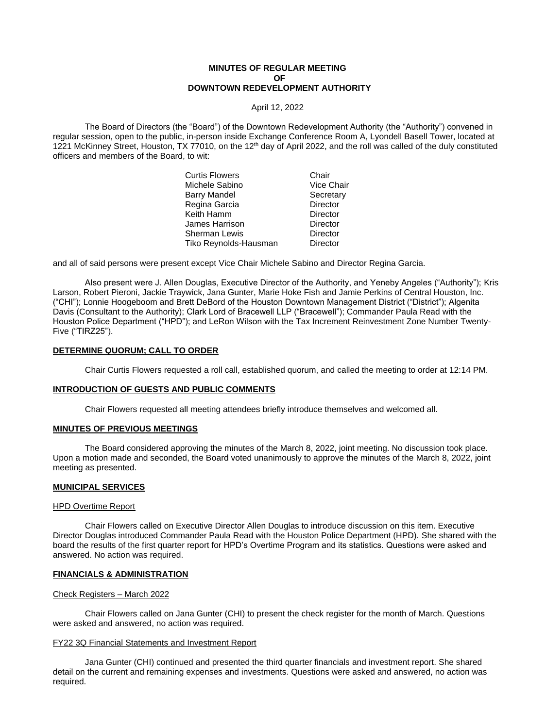## **MINUTES OF REGULAR MEETING OF DOWNTOWN REDEVELOPMENT AUTHORITY**

April 12, 2022

The Board of Directors (the "Board") of the Downtown Redevelopment Authority (the "Authority") convened in regular session, open to the public, in-person inside Exchange Conference Room A, Lyondell Basell Tower, located at 1221 McKinney Street, Houston, TX 77010, on the  $12<sup>th</sup>$  day of April 2022, and the roll was called of the duly constituted officers and members of the Board, to wit:

| Chair           |
|-----------------|
| Vice Chair      |
| Secretary       |
| <b>Director</b> |
| Director        |
| Director        |
| Director        |
| Director        |
|                 |

and all of said persons were present except Vice Chair Michele Sabino and Director Regina Garcia.

Also present were J. Allen Douglas, Executive Director of the Authority, and Yeneby Angeles ("Authority"); Kris Larson, Robert Pieroni, Jackie Traywick, Jana Gunter, Marie Hoke Fish and Jamie Perkins of Central Houston, Inc. ("CHI"); Lonnie Hoogeboom and Brett DeBord of the Houston Downtown Management District ("District"); Algenita Davis (Consultant to the Authority); Clark Lord of Bracewell LLP ("Bracewell"); Commander Paula Read with the Houston Police Department ("HPD"); and LeRon Wilson with the Tax Increment Reinvestment Zone Number Twenty-Five ("TIRZ25").

# **DETERMINE QUORUM; CALL TO ORDER**

Chair Curtis Flowers requested a roll call, established quorum, and called the meeting to order at 12:14 PM.

### **INTRODUCTION OF GUESTS AND PUBLIC COMMENTS**

Chair Flowers requested all meeting attendees briefly introduce themselves and welcomed all.

### **MINUTES OF PREVIOUS MEETINGS**

The Board considered approving the minutes of the March 8, 2022, joint meeting. No discussion took place. Upon a motion made and seconded, the Board voted unanimously to approve the minutes of the March 8, 2022, joint meeting as presented.

### **MUNICIPAL SERVICES**

### HPD Overtime Report

Chair Flowers called on Executive Director Allen Douglas to introduce discussion on this item. Executive Director Douglas introduced Commander Paula Read with the Houston Police Department (HPD). She shared with the board the results of the first quarter report for HPD's Overtime Program and its statistics. Questions were asked and answered. No action was required.

## **FINANCIALS & ADMINISTRATION**

# Check Registers – March 2022

Chair Flowers called on Jana Gunter (CHI) to present the check register for the month of March. Questions were asked and answered, no action was required.

### FY22 3Q Financial Statements and Investment Report

Jana Gunter (CHI) continued and presented the third quarter financials and investment report. She shared detail on the current and remaining expenses and investments. Questions were asked and answered, no action was required.